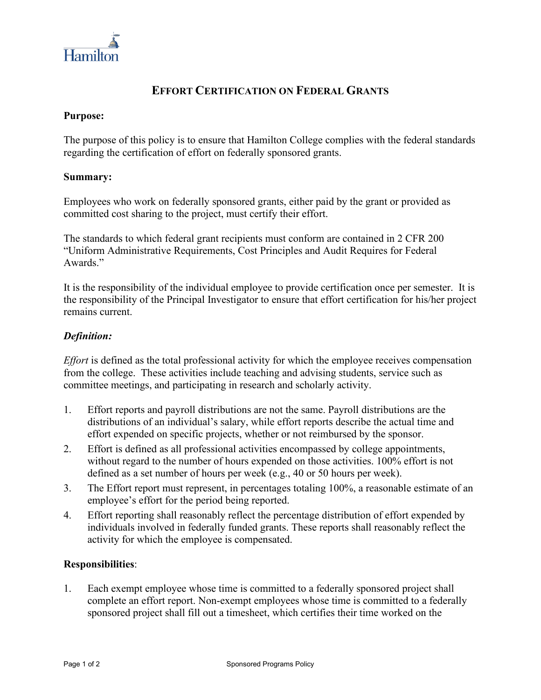

# **EFFORT CERTIFICATION ON FEDERAL GRANTS**

#### **Purpose:**

The purpose of this policy is to ensure that Hamilton College complies with the federal standards regarding the certification of effort on federally sponsored grants.

#### **Summary:**

Employees who work on federally sponsored grants, either paid by the grant or provided as committed cost sharing to the project, must certify their effort.

The standards to which federal grant recipients must conform are contained in 2 CFR 200 "Uniform Administrative Requirements, Cost Principles and Audit Requires for Federal Awards."

It is the responsibility of the individual employee to provide certification once per semester. It is the responsibility of the Principal Investigator to ensure that effort certification for his/her project remains current.

## *Definition:*

*Effort* is defined as the total professional activity for which the employee receives compensation from the college. These activities include teaching and advising students, service such as committee meetings, and participating in research and scholarly activity.

- 1. Effort reports and payroll distributions are not the same. Payroll distributions are the distributions of an individual's salary, while effort reports describe the actual time and effort expended on specific projects, whether or not reimbursed by the sponsor.
- 2. Effort is defined as all professional activities encompassed by college appointments, without regard to the number of hours expended on those activities. 100% effort is not defined as a set number of hours per week (e.g., 40 or 50 hours per week).
- 3. The Effort report must represent, in percentages totaling 100%, a reasonable estimate of an employee's effort for the period being reported.
- 4. Effort reporting shall reasonably reflect the percentage distribution of effort expended by individuals involved in federally funded grants. These reports shall reasonably reflect the activity for which the employee is compensated.

## **Responsibilities**:

1. Each exempt employee whose time is committed to a federally sponsored project shall complete an effort report. Non-exempt employees whose time is committed to a federally sponsored project shall fill out a timesheet, which certifies their time worked on the